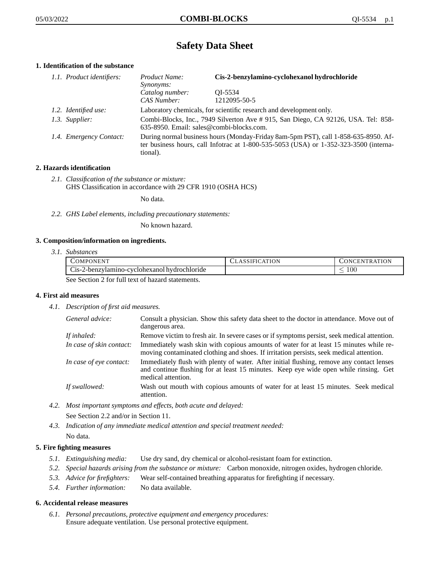# **Safety Data Sheet**

# **1. Identification of the substance**

| 1.1. Product identifiers: | Product Name:<br><i>Synonyms:</i>                                                                                                                                                           | Cis-2-benzylamino-cyclohexanol hydrochloride |
|---------------------------|---------------------------------------------------------------------------------------------------------------------------------------------------------------------------------------------|----------------------------------------------|
|                           | Catalog number:<br>CAS Number:                                                                                                                                                              | OI-5534<br>1212095-50-5                      |
| 1.2. Identified use:      | Laboratory chemicals, for scientific research and development only.                                                                                                                         |                                              |
| 1.3. Supplier:            | Combi-Blocks, Inc., 7949 Silverton Ave # 915, San Diego, CA 92126, USA. Tel: 858-<br>635-8950. Email: sales@combi-blocks.com.                                                               |                                              |
| 1.4. Emergency Contact:   | During normal business hours (Monday-Friday 8am-5pm PST), call 1-858-635-8950. Af-<br>ter business hours, call Infotrac at $1-800-535-5053$ (USA) or $1-352-323-3500$ (interna-<br>tional). |                                              |

## **2. Hazards identification**

*2.1. Classification of the substance or mixture:* GHS Classification in accordance with 29 CFR 1910 (OSHA HCS)

No data.

*2.2. GHS Label elements, including precautionary statements:*

No known hazard.

### **3. Composition/information on ingredients.**

*3.1. Substances*

| COMPONENT                                        | <b>CLASSIFICATION</b> | CONCENTRATION |
|--------------------------------------------------|-----------------------|---------------|
| Cis-2-benzylamino-cyclohexanol hydrochloride     |                       | 100           |
| See Section 2 for full text of hazard statements |                       |               |

See Section 2 for full text of hazard statements.

### **4. First aid measures**

*4.1. Description of first aid measures.*

| General advice:          | Consult a physician. Show this safety data sheet to the doctor in attendance. Move out of<br>dangerous area.                                                                                            |
|--------------------------|---------------------------------------------------------------------------------------------------------------------------------------------------------------------------------------------------------|
| If inhaled:              | Remove victim to fresh air. In severe cases or if symptoms persist, seek medical attention.                                                                                                             |
| In case of skin contact: | Immediately wash skin with copious amounts of water for at least 15 minutes while re-<br>moving contaminated clothing and shoes. If irritation persists, seek medical attention.                        |
| In case of eye contact:  | Immediately flush with plenty of water. After initial flushing, remove any contact lenses<br>and continue flushing for at least 15 minutes. Keep eye wide open while rinsing. Get<br>medical attention. |
| If swallowed:            | Wash out mouth with copious amounts of water for at least 15 minutes. Seek medical<br>attention.                                                                                                        |

*4.2. Most important symptoms and effects, both acute and delayed:*

See Section 2.2 and/or in Section 11.

*4.3. Indication of any immediate medical attention and special treatment needed:* No data.

# **5. Fire fighting measures**

- *5.1. Extinguishing media:* Use dry sand, dry chemical or alcohol-resistant foam for extinction.
- *5.2. Special hazards arising from the substance or mixture:* Carbon monoxide, nitrogen oxides, hydrogen chloride.
- *5.3. Advice for firefighters:* Wear self-contained breathing apparatus for firefighting if necessary.
- *5.4. Further information:* No data available.

### **6. Accidental release measures**

*6.1. Personal precautions, protective equipment and emergency procedures:* Ensure adequate ventilation. Use personal protective equipment.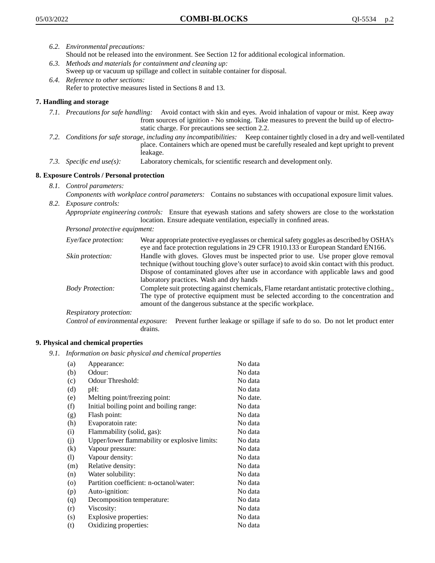- *6.2. Environmental precautions:* Should not be released into the environment. See Section 12 for additional ecological information.
- *6.3. Methods and materials for containment and cleaning up:* Sweep up or vacuum up spillage and collect in suitable container for disposal.
- *6.4. Reference to other sections:* Refer to protective measures listed in Sections 8 and 13.

## **7. Handling and storage**

- *7.1. Precautions for safe handling:* Avoid contact with skin and eyes. Avoid inhalation of vapour or mist. Keep away from sources of ignition - No smoking. Take measures to prevent the build up of electrostatic charge. For precautions see section 2.2.
- *7.2. Conditions for safe storage, including any incompatibilities:* Keep container tightly closed in a dry and well-ventilated place. Containers which are opened must be carefully resealed and kept upright to prevent leakage.
- *7.3. Specific end use(s):* Laboratory chemicals, for scientific research and development only.

### **8. Exposure Controls / Personal protection**

- *8.1. Control parameters:*
- *Components with workplace control parameters:* Contains no substances with occupational exposure limit values. *8.2. Exposure controls:*

*Appropriate engineering controls:* Ensure that eyewash stations and safety showers are close to the workstation location. Ensure adequate ventilation, especially in confined areas.

*Personal protective equipment:*

| Eye/face protection:    | Wear appropriate protective eyeglasses or chemical safety goggles as described by OSHA's<br>eye and face protection regulations in 29 CFR 1910.133 or European Standard EN166.                                                                                                                                         |
|-------------------------|------------------------------------------------------------------------------------------------------------------------------------------------------------------------------------------------------------------------------------------------------------------------------------------------------------------------|
| Skin protection:        | Handle with gloves. Gloves must be inspected prior to use. Use proper glove removal<br>technique (without touching glove's outer surface) to avoid skin contact with this product.<br>Dispose of contaminated gloves after use in accordance with applicable laws and good<br>laboratory practices. Wash and dry hands |
| <b>Body Protection:</b> | Complete suit protecting against chemicals, Flame retardant antistatic protective clothing.,<br>The type of protective equipment must be selected according to the concentration and<br>amount of the dangerous substance at the specific workplace.                                                                   |
| Respiratory protection: |                                                                                                                                                                                                                                                                                                                        |

Control of environmental exposure: Prevent further leakage or spillage if safe to do so. Do not let product enter drains.

### **9. Physical and chemical properties**

*9.1. Information on basic physical and chemical properties*

| (a)                        | Appearance:                                   | No data  |
|----------------------------|-----------------------------------------------|----------|
| (b)                        | Odour:                                        | No data  |
| (c)                        | Odour Threshold:                              | No data  |
| (d)                        | pH:                                           | No data  |
| (e)                        | Melting point/freezing point:                 | No date. |
| (f)                        | Initial boiling point and boiling range:      | No data  |
| (g)                        | Flash point:                                  | No data  |
| (h)                        | Evaporatoin rate:                             | No data  |
| (i)                        | Flammability (solid, gas):                    | No data  |
| (j)                        | Upper/lower flammability or explosive limits: | No data  |
| (k)                        | Vapour pressure:                              | No data  |
| $\left( \mathrm{l}\right)$ | Vapour density:                               | No data  |
| (m)                        | Relative density:                             | No data  |
| (n)                        | Water solubility:                             | No data  |
| $\circ$                    | Partition coefficient: n-octanol/water:       | No data  |
| (p)                        | Auto-ignition:                                | No data  |
| (q)                        | Decomposition temperature:                    | No data  |
| (r)                        | Viscosity:                                    | No data  |
| (s)                        | Explosive properties:                         | No data  |
| (t)                        | Oxidizing properties:                         | No data  |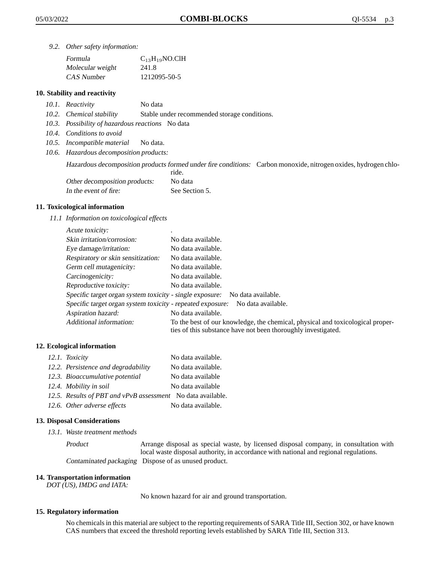*9.2. Other safety information:*

| Formula          | $C_{13}H_{19}NO$ .ClH |
|------------------|-----------------------|
| Molecular weight | 241.8                 |
| CAS Number       | 1212095-50-5          |

### **10. Stability and reactivity**

- *10.1. Reactivity* No data
- *10.2. Chemical stability* Stable under recommended storage conditions.
- *10.3. Possibility of hazardous reactions* No data
- *10.4. Conditions to avoid*
- *10.5. Incompatible material* No data.
- *10.6. Hazardous decomposition products:*

Hazardous decomposition products formed under fire conditions: Carbon monoxide, nitrogen oxides, hydrogen chlo-

|                               | ride.          |
|-------------------------------|----------------|
| Other decomposition products: | No data        |
| In the event of fire:         | See Section 5. |

### **11. Toxicological information**

*11.1 Information on toxicological effects*

| Acute toxicity:                                            | $\bullet$                                                                                                                                       |
|------------------------------------------------------------|-------------------------------------------------------------------------------------------------------------------------------------------------|
| Skin irritation/corrosion:                                 | No data available.                                                                                                                              |
| Eye damage/irritation:                                     | No data available.                                                                                                                              |
| Respiratory or skin sensitization:                         | No data available.                                                                                                                              |
| Germ cell mutagenicity:                                    | No data available.                                                                                                                              |
| Carcinogenicity:                                           | No data available.                                                                                                                              |
| Reproductive toxicity:                                     | No data available.                                                                                                                              |
| Specific target organ system toxicity - single exposure:   | No data available.                                                                                                                              |
| Specific target organ system toxicity - repeated exposure: | No data available.                                                                                                                              |
| Aspiration hazard:                                         | No data available.                                                                                                                              |
| Additional information:                                    | To the best of our knowledge, the chemical, physical and toxicological proper-<br>ties of this substance have not been thoroughly investigated. |

### **12. Ecological information**

| 12.1. Toxicity                                              | No data available. |
|-------------------------------------------------------------|--------------------|
| 12.2. Persistence and degradability                         | No data available. |
| 12.3. Bioaccumulative potential                             | No data available  |
| 12.4. Mobility in soil                                      | No data available  |
| 12.5. Results of PBT and vPvB assessment No data available. |                    |
| 12.6. Other adverse effects                                 | No data available. |

#### **13. Disposal Considerations**

*13.1. Waste treatment methods*

Product Arrange disposal as special waste, by licensed disposal company, in consultation with local waste disposal authority, in accordance with national and regional regulations. Contaminated packaging Dispose of as unused product.

#### **14. Transportation information**

*DOT (US), IMDG and IATA:*

No known hazard for air and ground transportation.

#### **15. Regulatory information**

No chemicals in this material are subject to the reporting requirements of SARA Title III, Section 302, or have known CAS numbers that exceed the threshold reporting levels established by SARA Title III, Section 313.